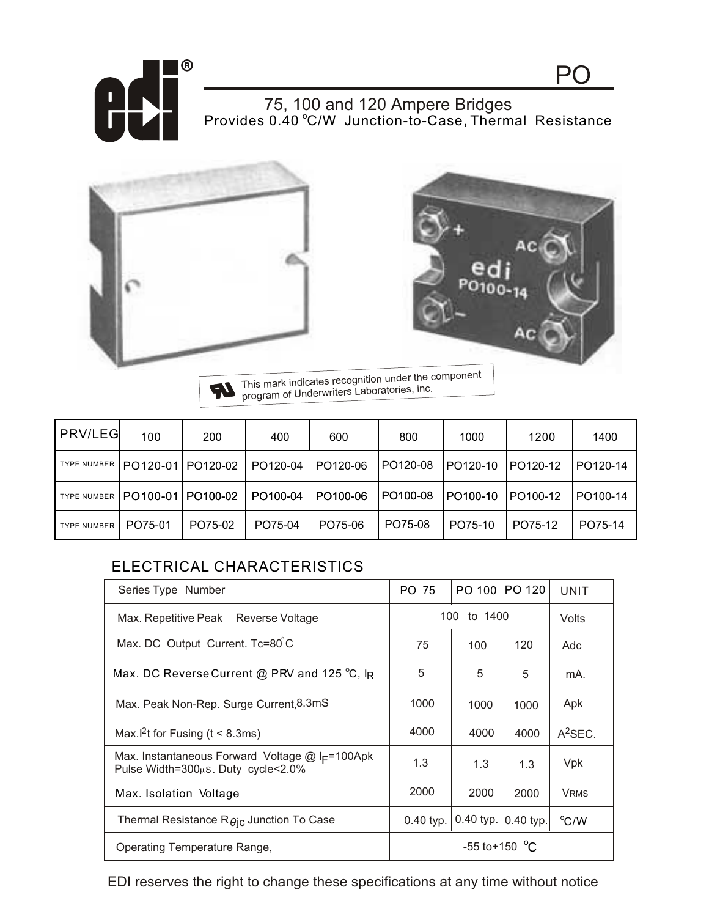

Provides 0.40 °C/W Junction-to-Case, Thermal Resistance 75, 100 and 120 Ampere Bridges





PO

This mark indicates recognition under the component **IR** program of Underwriters Laboratories, inc.

| PRV/LEG            | 100               | 200     | 400      | 600      | 800      | 1000     | 1200     | 1400     |
|--------------------|-------------------|---------|----------|----------|----------|----------|----------|----------|
| <b>TYPE NUMBER</b> | PO120-01 PO120-02 |         | PO120-04 | PO120-06 | PO120-08 | PO120-10 | PO120-12 | PO120-14 |
| <b>TYPE NUMBER</b> | PO100-01 PO100-02 |         | PO100-04 | PO100-06 | PO100-08 | PO100-10 | PO100-12 | PO100-14 |
| <b>TYPE NUMBER</b> | PO75-01           | PO75-02 | PO75-04  | PO75-06  | PO75-08  | PO75-10  | PO75-12  | PO75-14  |

## ELECTRICAL CHARACTERISTICS

| Series Type Number                                                                                        | PO 75             | PO 100    | PO 120    | UNIT        |
|-----------------------------------------------------------------------------------------------------------|-------------------|-----------|-----------|-------------|
| Max. Repetitive Peak Reverse Voltage                                                                      | 100<br>to 1400    |           |           | Volts       |
| Max. DC Output Current. Tc=80°C                                                                           | 75                | 100       | 120       | Adc         |
| Max. DC Reverse Current @ PRV and 125 °C, IR                                                              | 5                 | 5         | 5         | mA.         |
| Max. Peak Non-Rep. Surge Current, 8.3mS                                                                   | 1000              | 1000      | 1000      | Apk         |
| Max. <sup>[2</sup> t for Fusing ( $t < 8.3$ ms)                                                           | 4000              | 4000      | 4000      | $A^2$ SEC.  |
| Max. Instantaneous Forward Voltage $@$ I <sub>F</sub> =100Apk<br>Pulse Width=300 $\mu$ s. Duty cycle<2.0% | 1.3               | 1.3       | 1.3       | <b>Vpk</b>  |
| Max. Isolation Voltage                                                                                    | 2000              | 2000      | 2000      | <b>VRMS</b> |
| Thermal Resistance $R\theta$ ic Junction To Case                                                          | $0.40$ typ.       | 0.40 typ. | 0.40 typ. | °C/W        |
| Operating Temperature Range,                                                                              | $-55$ to + 150 °C |           |           |             |

EDI reserves the right to change these specifications at any time without notice